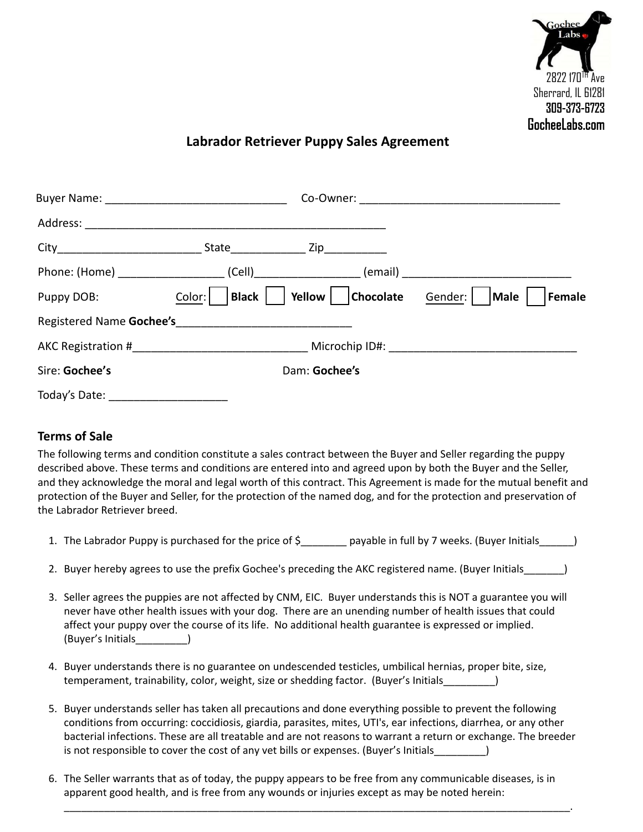

## **Labrador Retriever Puppy Sales Agreement**

| Puppy DOB:     | Black  <br>Color: | Chocolate Gender:  <br>Yellow | Male<br>Female |
|----------------|-------------------|-------------------------------|----------------|
|                |                   |                               |                |
|                |                   |                               |                |
| Sire: Gochee's |                   | Dam: Gochee's                 |                |
| Today's Date:  |                   |                               |                |

## **Terms of Sale**

The following terms and condition constitute a sales contract between the Buyer and Seller regarding the puppy described above. These terms and conditions are entered into and agreed upon by both the Buyer and the Seller, and they acknowledge the moral and legal worth of this contract. This Agreement is made for the mutual benefit and protection of the Buyer and Seller, for the protection of the named dog, and for the protection and preservation of the Labrador Retriever breed.

- 1. The Labrador Puppy is purchased for the price of \$\_\_\_\_\_\_\_\_ payable in full by 7 weeks. (Buyer Initials\_\_\_\_\_\_)
- 2. Buyer hereby agrees to use the prefix Gochee's preceding the AKC registered name. (Buyer Initials
- 3. Seller agrees the puppies are not affected by CNM, EIC. Buyer understands this is NOT a guarantee you will never have other health issues with your dog. There are an unending number of health issues that could affect your puppy over the course of its life. No additional health guarantee is expressed or implied. (Buyer's Initials\_\_\_\_\_\_\_\_\_)
- 4. Buyer understands there is no guarantee on undescended testicles, umbilical hernias, proper bite, size, temperament, trainability, color, weight, size or shedding factor. (Buyer's Initials\_\_\_\_\_\_\_\_\_)
- 5. Buyer understands seller has taken all precautions and done everything possible to prevent the following conditions from occurring: coccidiosis, giardia, parasites, mites, UTI's, ear infections, diarrhea, or any other bacterial infections. These are all treatable and are not reasons to warrant a return or exchange. The breeder is not responsible to cover the cost of any vet bills or expenses. (Buyer's Initials
- 6. The Seller warrants that as of today, the puppy appears to be free from any communicable diseases, is in apparent good health, and is free from any wounds or injuries except as may be noted herein:

\_\_\_\_\_\_\_\_\_\_\_\_\_\_\_\_\_\_\_\_\_\_\_\_\_\_\_\_\_\_\_\_\_\_\_\_\_\_\_\_\_\_\_\_\_\_\_\_\_\_\_\_\_\_\_\_\_\_\_\_\_\_\_\_\_\_\_\_\_\_\_\_\_\_\_\_\_\_\_\_\_\_\_\_\_\_\_\_.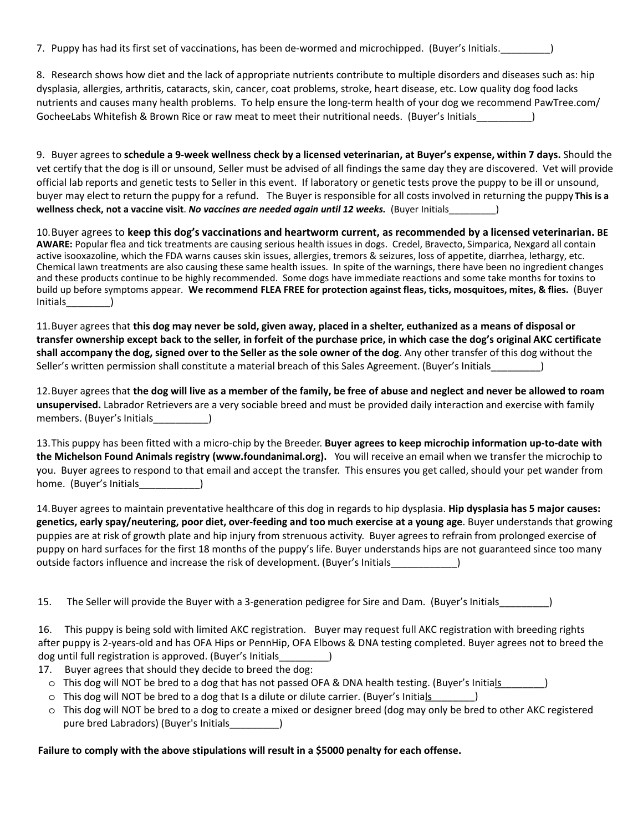7. Puppy has had its first set of vaccinations, has been de-wormed and microchipped. (Buyer's Initials.\_\_\_\_\_\_\_\_\_)

GocheeLabs Whitefish & Brown Rice or raw meat to meet their nutritional needs. (Buyer's Initials\_\_\_\_\_\_\_\_\_\_) 8. Research shows how diet and the lack of appropriate nutrients contribute to multiple disorders and diseases such as: hip dysplasia, allergies, arthritis, cataracts, skin, cancer, coat problems, stroke, heart disease, etc. Low quality dog food lacks nutrients and causes many health problems. To help ensure the long-term health of your dog we recommend PawTree.com/

) 9. Buyer agrees to **schedule a 9-week wellness check by a licensed veterinarian, at Buyer's expense, within 7 days.** Should the vet certify that the dog is ill or unsound, Seller must be advised of all findings the same day they are discovered. Vet will provide official lab reports and genetic tests to Seller in this event. If laboratory or genetic tests prove the puppy to be ill or unsound, buyer may elect to return the puppy for a refund. The Buyer is responsible for all costs involved in returning the puppy. **This is a wellness check, not a vaccine visit**. *No vaccines are needed again until 12 weeks.* (Buyer Initials \_\_\_\_\_ \_\_\_\_

) Initials \_\_\_\_\_\_\_\_ 10.Buyer agrees to **keep this dog's vaccinations and heartworm current, as recommended by a licensed veterinarian. BE AWARE:** Popular flea and tick treatments are causing serious health issues in dogs. Credel, Bravecto, Simparica, Nexgard all contain active isooxazoline, which the FDA warns causes skin issues, allergies, tremors & seizures, loss of appetite, diarrhea, lethargy, etc. Chemical lawn treatments are also causing these same health issues. In spite of the warnings, there have been no ingredient changes and these products continue to be highly recommended. Some dogs have immediate reactions and some take months for toxins to build up before symptoms appear. **We recommend FLEA FREE for protection against fleas, ticks, mosquitoes, mites, & flies.** (Buyer

Seller's written permission shall constitute a material breach of this Sales Agreement. (Buyer's Initials\_\_\_\_\_\_\_\_\_) 11.Buyer agrees that **this dog may never be sold, given away, placed in a shelter, euthanized as a means of disposal or transfer ownership except back to the seller, in forfeit of the purchase price, in which case the dog's original AKC certificate shall accompany the dog, signed over to the Seller as the sole owner of the dog**. Any other transfer of this dog without the

members. (Buyer's Initials \_\_\_\_\_\_\_\_\_\_\_) 12.Buyer agrees that **the dog will live as a member of the family, be free of abuse and neglect and never be allowed to roam unsupervised.** Labrador Retrievers are a very sociable breed and must be provided daily interaction and exercise with family

home. (Buyer's Initials\_\_\_\_\_\_\_\_\_\_\_\_\_\_) 13.This puppy has been fitted with a micro-chip by the Breeder. **Buyer agrees to keep microchip information up-to-date with the Michelson Found Animals registry (www.foundanimal.org).** You will receive an email when we transfer the microchip to you. Buyer agrees to respond to that email and accept the transfer. This ensures you get called, should your pet wander from

outside factors influence and increase the risk of development. (Buyer's Initials\_\_\_\_\_\_\_\_\_\_\_\_\_\_) 14.Buyer agrees to maintain preventative healthcare of this dog in regards to hip dysplasia. **Hip dysplasia has 5 major causes: genetics, early spay/neutering, poor diet, over-feeding and too much exercise at a young age**. Buyer understands that growing puppies are at risk of growth plate and hip injury from strenuous activity. Buyer agrees to refrain from prolonged exercise of puppy on hard surfaces for the first 18 months of the puppy's life. Buyer understands hips are not guaranteed since too many

15. The Seller will provide the Buyer with a 3-generation pedigree for Sire and Dam. (Buyer's Initials \_\_\_\_\_\_\_\_\_

 16. This puppy is being sold with limited AKC registration. Buyer may request full AKC registration with breeding rights ) after puppy is 2-years-old and has OFA Hips or PennHip, OFA Elbows & DNA testing completed. Buyer agrees not to breed the dog until full registration is approved. (Buyer's Initials\_\_\_\_\_\_\_\_\_

- 17. Buyer agrees that should they decide to breed the dog:
	- o This dog will NOT be bred to a dog that has not passed OFA & DNA health testing. (Buyer's Initials \_\_\_\_\_\_\_\_)
	- o This dog will NOT be bred to a dog that Is a dilute or dilute carrier. (Buyer's Initials \_\_\_\_\_\_\_\_)
	- pure bred Labradors) (Buyer's Initials\_\_\_\_\_\_\_\_\_\_) o This dog will NOT be bred to a dog to create a mixed or designer breed (dog may only be bred to other AKC registered

**Failure to comply with the above stipulations will result in a \$5000 penalty for each offense.**